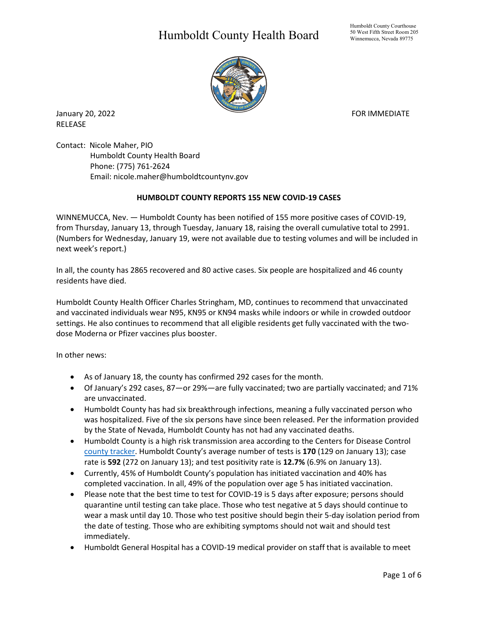## Humboldt County Health Board



January 20, 2022 **FOR IMMEDIATE** RELEASE

Contact: Nicole Maher, PIO Humboldt County Health Board Phone: (775) 761-2624 Email: nicole.maher@humboldtcountynv.gov

## **HUMBOLDT COUNTY REPORTS 155 NEW COVID-19 CASES**

WINNEMUCCA, Nev. — Humboldt County has been notified of 155 more positive cases of COVID-19, from Thursday, January 13, through Tuesday, January 18, raising the overall cumulative total to 2991. (Numbers for Wednesday, January 19, were not available due to testing volumes and will be included in next week's report.)

In all, the county has 2865 recovered and 80 active cases. Six people are hospitalized and 46 county residents have died.

Humboldt County Health Officer Charles Stringham, MD, continues to recommend that unvaccinated and vaccinated individuals wear N95, KN95 or KN94 masks while indoors or while in crowded outdoor settings. He also continues to recommend that all eligible residents get fully vaccinated with the twodose Moderna or Pfizer vaccines plus booster.

In other news:

- As of January 18, the county has confirmed 292 cases for the month.
- Of January's 292 cases, 87—or 29%—are fully vaccinated; two are partially vaccinated; and 71% are unvaccinated.
- Humboldt County has had six breakthrough infections, meaning a fully vaccinated person who was hospitalized. Five of the six persons have since been released. Per the information provided by the State of Nevada, Humboldt County has not had any vaccinated deaths.
- Humboldt County is a high risk transmission area according to the Centers for Disease Control [county tracker.](https://nvhealthresponse.nv.gov/current-status-mitigation-measures/) Humboldt County's average number of tests is **170** (129 on January 13); case rate is **592** (272 on January 13); and test positivity rate is **12.7%** (6.9% on January 13).
- Currently, 45% of Humboldt County's population has initiated vaccination and 40% has completed vaccination. In all, 49% of the population over age 5 has initiated vaccination.
- Please note that the best time to test for COVID-19 is 5 days after exposure; persons should quarantine until testing can take place. Those who test negative at 5 days should continue to wear a mask until day 10. Those who test positive should begin their 5-day isolation period from the date of testing. Those who are exhibiting symptoms should not wait and should test immediately.
- Humboldt General Hospital has a COVID-19 medical provider on staff that is available to meet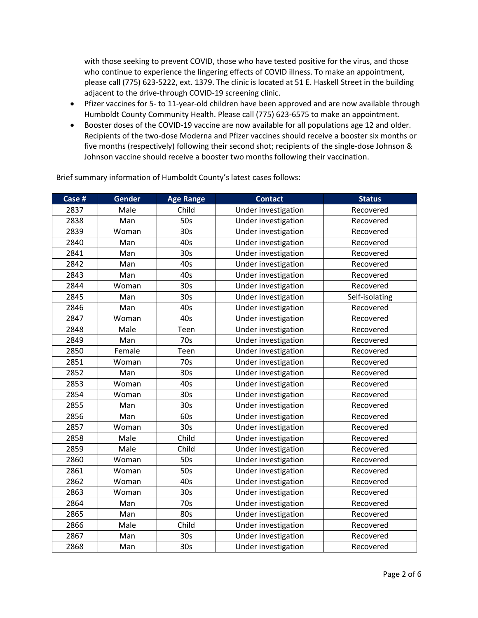with those seeking to prevent COVID, those who have tested positive for the virus, and those who continue to experience the lingering effects of COVID illness. To make an appointment, please call (775) 623-5222, ext. 1379. The clinic is located at 51 E. Haskell Street in the building adjacent to the drive-through COVID-19 screening clinic.

- Pfizer vaccines for 5- to 11-year-old children have been approved and are now available through Humboldt County Community Health. Please call (775) 623-6575 to make an appointment.
- Booster doses of the COVID-19 vaccine are now available for all populations age 12 and older. Recipients of the two-dose Moderna and Pfizer vaccines should receive a booster six months or five months (respectively) following their second shot; recipients of the single-dose Johnson & Johnson vaccine should receive a booster two months following their vaccination.

| Case # | <b>Gender</b> | <b>Age Range</b> | <b>Contact</b>      | <b>Status</b>  |
|--------|---------------|------------------|---------------------|----------------|
| 2837   | Male          | Child            | Under investigation | Recovered      |
| 2838   | Man           | 50s              | Under investigation | Recovered      |
| 2839   | Woman         | 30 <sub>s</sub>  | Under investigation | Recovered      |
| 2840   | Man           | 40s              | Under investigation | Recovered      |
| 2841   | Man           | 30 <sub>s</sub>  | Under investigation | Recovered      |
| 2842   | Man           | 40s              | Under investigation | Recovered      |
| 2843   | Man           | 40s              | Under investigation | Recovered      |
| 2844   | Woman         | 30 <sub>s</sub>  | Under investigation | Recovered      |
| 2845   | Man           | 30 <sub>s</sub>  | Under investigation | Self-isolating |
| 2846   | Man           | 40s              | Under investigation | Recovered      |
| 2847   | Woman         | 40s              | Under investigation | Recovered      |
| 2848   | Male          | Teen             | Under investigation | Recovered      |
| 2849   | Man           | 70s              | Under investigation | Recovered      |
| 2850   | Female        | Teen             | Under investigation | Recovered      |
| 2851   | Woman         | 70s              | Under investigation | Recovered      |
| 2852   | Man           | 30 <sub>s</sub>  | Under investigation | Recovered      |
| 2853   | Woman         | 40s              | Under investigation | Recovered      |
| 2854   | Woman         | 30 <sub>s</sub>  | Under investigation | Recovered      |
| 2855   | Man           | 30 <sub>s</sub>  | Under investigation | Recovered      |
| 2856   | Man           | 60s              | Under investigation | Recovered      |
| 2857   | Woman         | 30s              | Under investigation | Recovered      |
| 2858   | Male          | Child            | Under investigation | Recovered      |
| 2859   | Male          | Child            | Under investigation | Recovered      |
| 2860   | Woman         | 50s              | Under investigation | Recovered      |
| 2861   | Woman         | 50s              | Under investigation | Recovered      |
| 2862   | Woman         | 40s              | Under investigation | Recovered      |
| 2863   | Woman         | 30 <sub>s</sub>  | Under investigation | Recovered      |
| 2864   | Man           | 70s              | Under investigation | Recovered      |
| 2865   | Man           | 80s              | Under investigation | Recovered      |
| 2866   | Male          | Child            | Under investigation | Recovered      |
| 2867   | Man           | 30 <sub>s</sub>  | Under investigation | Recovered      |
| 2868   | Man           | 30 <sub>s</sub>  | Under investigation | Recovered      |

Brief summary information of Humboldt County's latest cases follows: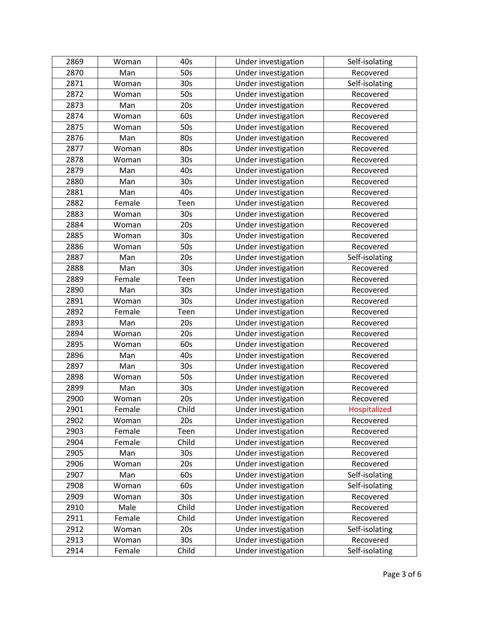| 2869 | Woman  | 40s             | Under investigation | Self-isolating |
|------|--------|-----------------|---------------------|----------------|
| 2870 | Man    | 50s             | Under investigation | Recovered      |
| 2871 | Woman  | 30 <sub>s</sub> | Under investigation | Self-isolating |
| 2872 | Woman  | 50s             | Under investigation | Recovered      |
| 2873 | Man    | 20s             | Under investigation | Recovered      |
| 2874 | Woman  | 60s             | Under investigation | Recovered      |
| 2875 | Woman  | 50s             | Under investigation | Recovered      |
| 2876 | Man    | 80s             | Under investigation | Recovered      |
| 2877 | Woman  | 80s             | Under investigation | Recovered      |
| 2878 | Woman  | 30s             | Under investigation | Recovered      |
| 2879 | Man    | 40s             | Under investigation | Recovered      |
| 2880 | Man    | 30s             | Under investigation | Recovered      |
| 2881 | Man    | 40s             | Under investigation | Recovered      |
| 2882 | Female | Teen            | Under investigation | Recovered      |
| 2883 | Woman  | 30s             | Under investigation | Recovered      |
| 2884 | Woman  | 20s             | Under investigation | Recovered      |
| 2885 | Woman  | 30s             | Under investigation | Recovered      |
| 2886 | Woman  | 50s             | Under investigation | Recovered      |
| 2887 | Man    | 20s             | Under investigation | Self-isolating |
| 2888 | Man    | 30 <sub>s</sub> | Under investigation | Recovered      |
| 2889 | Female | Teen            | Under investigation | Recovered      |
| 2890 | Man    | 30s             | Under investigation | Recovered      |
| 2891 | Woman  | 30 <sub>s</sub> | Under investigation | Recovered      |
| 2892 | Female | Teen            | Under investigation | Recovered      |
| 2893 | Man    | 20s             | Under investigation | Recovered      |
| 2894 | Woman  | 20s             | Under investigation | Recovered      |
| 2895 | Woman  | 60s             | Under investigation | Recovered      |
| 2896 | Man    | 40s             | Under investigation | Recovered      |
| 2897 | Man    | 30 <sub>s</sub> | Under investigation | Recovered      |
| 2898 | Woman  | 50s             | Under investigation | Recovered      |
| 2899 | Man    | 30s             | Under investigation | Recovered      |
| 2900 | Woman  | 20s             | Under investigation | Recovered      |
| 2901 | Female | Child           | Under investigation | Hospitalized   |
| 2902 | Woman  | 20s             | Under investigation | Recovered      |
| 2903 | Female | Teen            | Under investigation | Recovered      |
| 2904 | Female | Child           | Under investigation | Recovered      |
| 2905 | Man    | 30 <sub>s</sub> | Under investigation | Recovered      |
| 2906 | Woman  | 20s             | Under investigation | Recovered      |
| 2907 | Man    | 60s             | Under investigation | Self-isolating |
| 2908 | Woman  | 60s             | Under investigation | Self-isolating |
| 2909 | Woman  | 30 <sub>s</sub> | Under investigation | Recovered      |
| 2910 | Male   | Child           | Under investigation | Recovered      |
| 2911 | Female | Child           | Under investigation | Recovered      |
| 2912 | Woman  | 20s             | Under investigation | Self-isolating |
| 2913 | Woman  | 30 <sub>s</sub> | Under investigation | Recovered      |
| 2914 | Female | Child           | Under investigation | Self-isolating |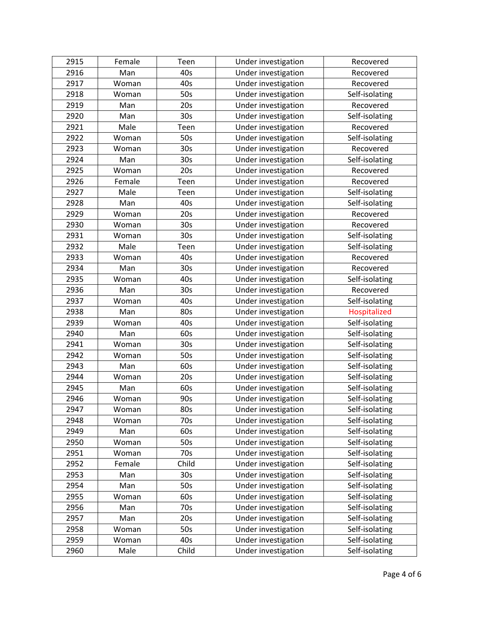| 2915 | Female | Teen            | Under investigation | Recovered      |
|------|--------|-----------------|---------------------|----------------|
| 2916 | Man    | 40s             | Under investigation | Recovered      |
| 2917 | Woman  | 40s             | Under investigation | Recovered      |
| 2918 | Woman  | 50s             | Under investigation | Self-isolating |
| 2919 | Man    | 20s             | Under investigation | Recovered      |
| 2920 | Man    | 30s             | Under investigation | Self-isolating |
| 2921 | Male   | Teen            | Under investigation | Recovered      |
| 2922 | Woman  | 50s             | Under investigation | Self-isolating |
| 2923 | Woman  | 30s             | Under investigation | Recovered      |
| 2924 | Man    | 30 <sub>s</sub> | Under investigation | Self-isolating |
| 2925 | Woman  | 20s             | Under investigation | Recovered      |
| 2926 | Female | Teen            | Under investigation | Recovered      |
| 2927 | Male   | Teen            | Under investigation | Self-isolating |
| 2928 | Man    | 40s             | Under investigation | Self-isolating |
| 2929 | Woman  | 20s             | Under investigation | Recovered      |
| 2930 | Woman  | 30s             | Under investigation | Recovered      |
| 2931 | Woman  | 30 <sub>s</sub> | Under investigation | Self-isolating |
| 2932 | Male   | Teen            | Under investigation | Self-isolating |
| 2933 | Woman  | 40s             | Under investigation | Recovered      |
| 2934 | Man    | 30 <sub>s</sub> | Under investigation | Recovered      |
| 2935 | Woman  | 40s             | Under investigation | Self-isolating |
| 2936 | Man    | 30s             | Under investigation | Recovered      |
| 2937 | Woman  | 40s             | Under investigation | Self-isolating |
| 2938 | Man    | 80s             | Under investigation | Hospitalized   |
| 2939 | Woman  | 40s             | Under investigation | Self-isolating |
| 2940 | Man    | 60s             | Under investigation | Self-isolating |
| 2941 | Woman  | 30 <sub>s</sub> | Under investigation | Self-isolating |
| 2942 | Woman  | 50s             | Under investigation | Self-isolating |
| 2943 | Man    | 60s             | Under investigation | Self-isolating |
| 2944 | Woman  | 20s             | Under investigation | Self-isolating |
| 2945 | Man    | 60s             | Under investigation | Self-isolating |
| 2946 | Woman  | 90s             | Under investigation | Self-isolating |
| 2947 | Woman  | 80s             | Under investigation | Self-isolating |
| 2948 | Woman  | 70s             | Under investigation | Self-isolating |
| 2949 | Man    | 60s             | Under investigation | Self-isolating |
| 2950 | Woman  | 50s             | Under investigation | Self-isolating |
| 2951 | Woman  | 70s             | Under investigation | Self-isolating |
| 2952 | Female | Child           | Under investigation | Self-isolating |
| 2953 | Man    | 30 <sub>s</sub> | Under investigation | Self-isolating |
| 2954 | Man    | 50s             | Under investigation | Self-isolating |
| 2955 | Woman  | 60s             | Under investigation | Self-isolating |
| 2956 | Man    | 70s             | Under investigation | Self-isolating |
| 2957 | Man    | 20s             | Under investigation | Self-isolating |
| 2958 | Woman  | 50s             | Under investigation | Self-isolating |
| 2959 | Woman  | 40s             | Under investigation | Self-isolating |
| 2960 | Male   | Child           | Under investigation | Self-isolating |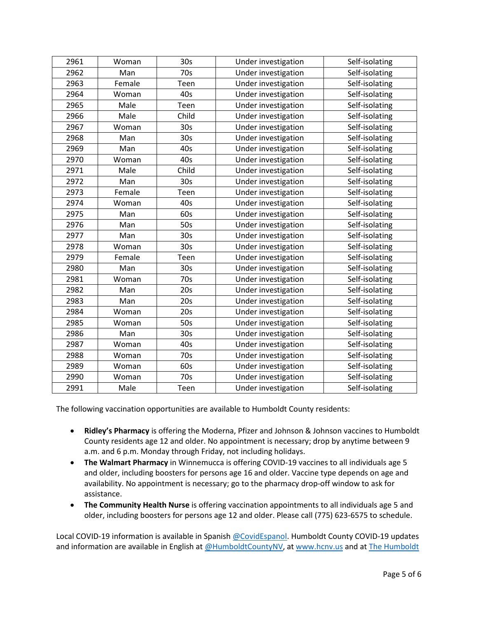| 2961 | Woman  | 30 <sub>s</sub> | Under investigation | Self-isolating |
|------|--------|-----------------|---------------------|----------------|
| 2962 | Man    | 70s             | Under investigation | Self-isolating |
| 2963 | Female | Teen            | Under investigation | Self-isolating |
| 2964 | Woman  | 40s             | Under investigation | Self-isolating |
| 2965 | Male   | Teen            | Under investigation | Self-isolating |
| 2966 | Male   | Child           | Under investigation | Self-isolating |
| 2967 | Woman  | 30 <sub>s</sub> | Under investigation | Self-isolating |
| 2968 | Man    | 30 <sub>s</sub> | Under investigation | Self-isolating |
| 2969 | Man    | 40s             | Under investigation | Self-isolating |
| 2970 | Woman  | 40s             | Under investigation | Self-isolating |
| 2971 | Male   | Child           | Under investigation | Self-isolating |
| 2972 | Man    | 30 <sub>s</sub> | Under investigation | Self-isolating |
| 2973 | Female | Teen            | Under investigation | Self-isolating |
| 2974 | Woman  | 40s             | Under investigation | Self-isolating |
| 2975 | Man    | 60s             | Under investigation | Self-isolating |
| 2976 | Man    | 50s             | Under investigation | Self-isolating |
| 2977 | Man    | 30 <sub>s</sub> | Under investigation | Self-isolating |
| 2978 | Woman  | 30s             | Under investigation | Self-isolating |
| 2979 | Female | Teen            | Under investigation | Self-isolating |
| 2980 | Man    | 30 <sub>s</sub> | Under investigation | Self-isolating |
| 2981 | Woman  | 70s             | Under investigation | Self-isolating |
| 2982 | Man    | 20s             | Under investigation | Self-isolating |
| 2983 | Man    | 20s             | Under investigation | Self-isolating |
| 2984 | Woman  | 20s             | Under investigation | Self-isolating |
| 2985 | Woman  | 50s             | Under investigation | Self-isolating |
| 2986 | Man    | 30 <sub>s</sub> | Under investigation | Self-isolating |
| 2987 | Woman  | 40s             | Under investigation | Self-isolating |
| 2988 | Woman  | 70s             | Under investigation | Self-isolating |
| 2989 | Woman  | 60s             | Under investigation | Self-isolating |
| 2990 | Woman  | 70s             | Under investigation | Self-isolating |
| 2991 | Male   | Teen            | Under investigation | Self-isolating |

The following vaccination opportunities are available to Humboldt County residents:

- **Ridley's Pharmacy** is offering the Moderna, Pfizer and Johnson & Johnson vaccines to Humboldt County residents age 12 and older. No appointment is necessary; drop by anytime between 9 a.m. and 6 p.m. Monday through Friday, not including holidays.
- **The Walmart Pharmacy** in Winnemucca is offering COVID-19 vaccines to all individuals age 5 and older, including boosters for persons age 16 and older. Vaccine type depends on age and availability. No appointment is necessary; go to the pharmacy drop-off window to ask for assistance.
- **The Community Health Nurse** is offering vaccination appointments to all individuals age 5 and older, including boosters for persons age 12 and older. Please call (775) 623-6575 to schedule.

Local COVID-19 information is available in Spanish [@CovidEspanol.](https://www.facebook.com/CovidEspanol) Humboldt County COVID-19 updates and information are available in English at [@HumboldtCountyNV,](https://www.facebook.com/humboldtcountynv) at [www.hcnv.us](http://www.hcnv.us/) and at The Humboldt